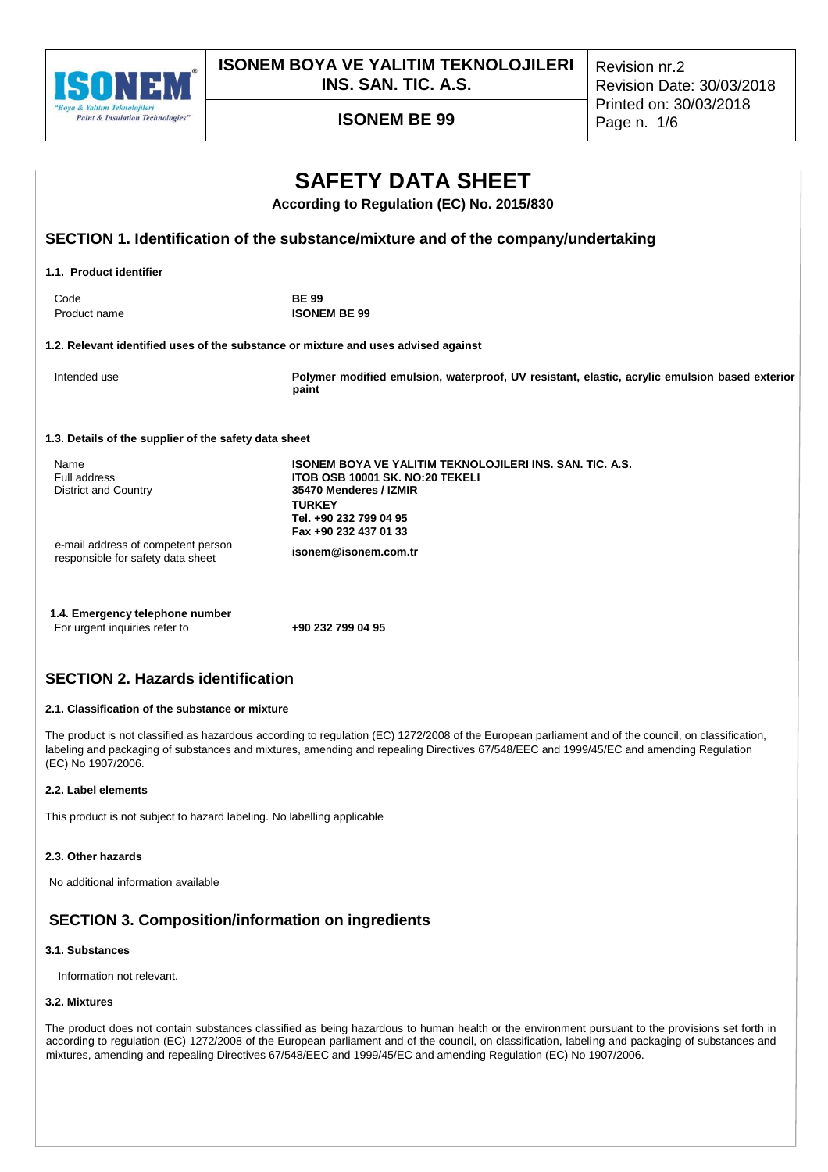

**ISONEM BOYA VE YALITIM TEKNOLOJILERI INS. SAN. TIC. A.S.**

Revision nr.2 Revision Date: 30/03/2018 Printed on: 30/03/2018

# **ISONEM BE 99** Page n. 1/6

| <b>SAFETY DATA SHEET</b><br>According to Regulation (EC) No. 2015/830             |                                                                                                                                                                                                  |  |  |  |  |
|-----------------------------------------------------------------------------------|--------------------------------------------------------------------------------------------------------------------------------------------------------------------------------------------------|--|--|--|--|
| SECTION 1. Identification of the substance/mixture and of the company/undertaking |                                                                                                                                                                                                  |  |  |  |  |
| 1.1. Product identifier                                                           |                                                                                                                                                                                                  |  |  |  |  |
| Code<br>Product name                                                              | <b>BE 99</b><br><b>ISONEM BE 99</b>                                                                                                                                                              |  |  |  |  |
|                                                                                   | 1.2. Relevant identified uses of the substance or mixture and uses advised against                                                                                                               |  |  |  |  |
| Intended use                                                                      | Polymer modified emulsion, waterproof, UV resistant, elastic, acrylic emulsion based exterior<br>paint                                                                                           |  |  |  |  |
| 1.3. Details of the supplier of the safety data sheet                             |                                                                                                                                                                                                  |  |  |  |  |
| Name<br>Full address<br><b>District and Country</b>                               | <b>ISONEM BOYA VE YALITIM TEKNOLOJILERI INS. SAN. TIC. A.S.</b><br>ITOB OSB 10001 SK, NO:20 TEKELI<br>35470 Menderes / IZMIR<br><b>TURKEY</b><br>Tel. +90 232 799 04 95<br>Fax +90 232 437 01 33 |  |  |  |  |
| e-mail address of competent person<br>responsible for safety data sheet           | isonem@isonem.com.tr                                                                                                                                                                             |  |  |  |  |

| 1.4. Emergency telephone number |                   |
|---------------------------------|-------------------|
| For urgent inquiries refer to   | +90 232 799 04 95 |

## **SECTION 2. Hazards identification**

## **2.1. Classification of the substance or mixture**

The product is not classified as hazardous according to regulation (EC) 1272/2008 of the European parliament and of the council, on classification, labeling and packaging of substances and mixtures, amending and repealing Directives 67/548/EEC and 1999/45/EC and amending Regulation (EC) No 1907/2006.

### **2.2. Label elements**

This product is not subject to hazard labeling. No labelling applicable

## **2.3. Other hazards**

No additional information available

## **SECTION 3. Composition/information on ingredients**

### **3.1. Substances**

Information not relevant.

### **3.2. Mixtures**

The product does not contain substances classified as being hazardous to human health or the environment pursuant to the provisions set forth in according to regulation (EC) 1272/2008 of the European parliament and of the council, on classification, labeling and packaging of substances and mixtures, amending and repealing Directives 67/548/EEC and 1999/45/EC and amending Regulation (EC) No 1907/2006.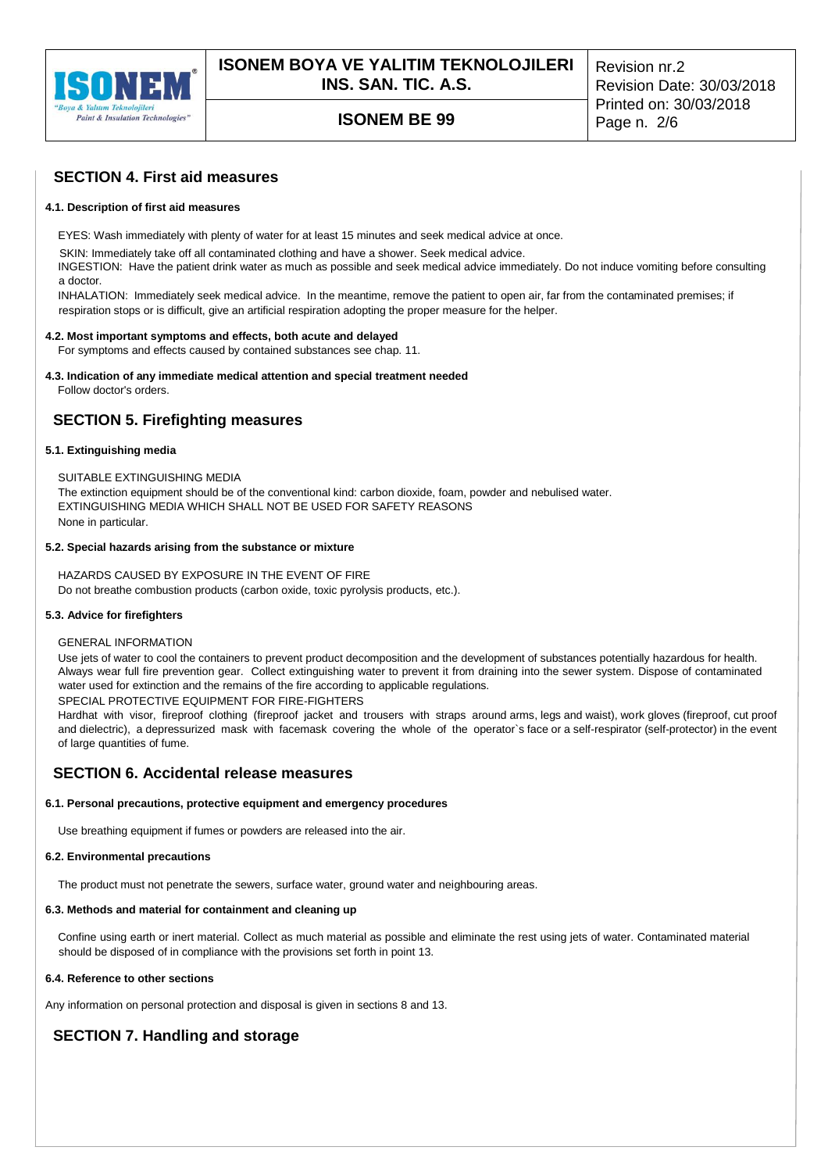

# **ISONEM BE 99** Page n. 2/6

## **SECTION 4. First aid measures**

#### **4.1. Description of first aid measures**

EYES: Wash immediately with plenty of water for at least 15 minutes and seek medical advice at once.

SKIN: Immediately take off all contaminated clothing and have a shower. Seek medical advice.

INGESTION: Have the patient drink water as much as possible and seek medical advice immediately. Do not induce vomiting before consulting a doctor.

INHALATION: Immediately seek medical advice. In the meantime, remove the patient to open air, far from the contaminated premises; if respiration stops or is difficult, give an artificial respiration adopting the proper measure for the helper.

#### **4.2. Most important symptoms and effects, both acute and delayed**

For symptoms and effects caused by contained substances see chap. 11.

## **4.3. Indication of any immediate medical attention and special treatment needed**

Follow doctor's orders.

## **SECTION 5. Firefighting measures**

#### **5.1. Extinguishing media**

SUITABLE EXTINGUISHING MEDIA The extinction equipment should be of the conventional kind: carbon dioxide, foam, powder and nebulised water.

EXTINGUISHING MEDIA WHICH SHALL NOT BE USED FOR SAFETY REASONS None in particular.

### **5.2. Special hazards arising from the substance or mixture**

HAZARDS CAUSED BY EXPOSURE IN THE EVENT OF FIRE Do not breathe combustion products (carbon oxide, toxic pyrolysis products, etc.).

#### **5.3. Advice for firefighters**

#### GENERAL INFORMATION

Use jets of water to cool the containers to prevent product decomposition and the development of substances potentially hazardous for health. Always wear full fire prevention gear. Collect extinguishing water to prevent it from draining into the sewer system. Dispose of contaminated water used for extinction and the remains of the fire according to applicable regulations. SPECIAL PROTECTIVE EQUIPMENT FOR FIRE-FIGHTERS

Hardhat with visor, fireproof clothing (fireproof jacket and trousers with straps around arms, legs and waist), work gloves (fireproof, cut proof and dielectric), a depressurized mask with facemask covering the whole of the operator`s face or a self-respirator (self-protector) in the event of large quantities of fume.

## **SECTION 6. Accidental release measures**

#### **6.1. Personal precautions, protective equipment and emergency procedures**

Use breathing equipment if fumes or powders are released into the air.

#### **6.2. Environmental precautions**

The product must not penetrate the sewers, surface water, ground water and neighbouring areas.

#### **6.3. Methods and material for containment and cleaning up**

Confine using earth or inert material. Collect as much material as possible and eliminate the rest using jets of water. Contaminated material should be disposed of in compliance with the provisions set forth in point 13.

## **6.4. Reference to other sections**

Any information on personal protection and disposal is given in sections 8 and 13.

## **SECTION 7. Handling and storage**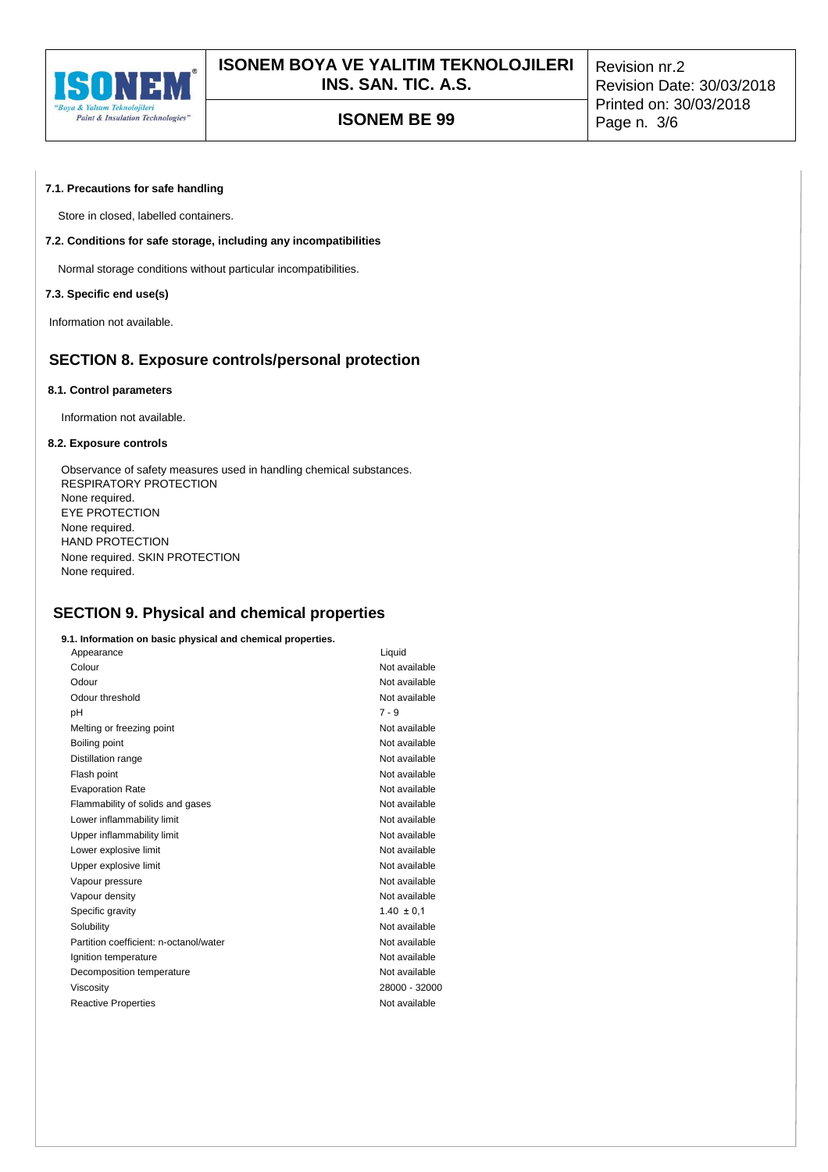

# **ISONEM BE 99** Page n. 3/6

Revision nr.2 Revision Date: 30/03/2018 Printed on: 30/03/2018

### **7.1. Precautions for safe handling**

Store in closed, labelled containers.

## **7.2. Conditions for safe storage, including any incompatibilities**

Normal storage conditions without particular incompatibilities.

## **7.3. Specific end use(s)**

Information not available.

## **SECTION 8. Exposure controls/personal protection**

#### **8.1. Control parameters**

Information not available.

#### **8.2. Exposure controls**

Observance of safety measures used in handling chemical substances. RESPIRATORY PROTECTION None required. EYE PROTECTION None required. HAND PROTECTION None required. SKIN PROTECTION None required.

## **SECTION 9. Physical and chemical properties**

#### **9.1. Information on basic physical and chemical properties.**

| Appearance                             | Liquid         |
|----------------------------------------|----------------|
| Colour                                 | Not available  |
| Odour                                  | Not available  |
| Odour threshold                        | Not available  |
| рH                                     | $7 - 9$        |
| Melting or freezing point              | Not available  |
| Boiling point                          | Not available  |
| Distillation range                     | Not available  |
| Flash point                            | Not available  |
| <b>Evaporation Rate</b>                | Not available  |
| Flammability of solids and gases       | Not available  |
| Lower inflammability limit             | Not available  |
| Upper inflammability limit             | Not available  |
| Lower explosive limit                  | Not available  |
| Upper explosive limit                  | Not available  |
| Vapour pressure                        | Not available  |
| Vapour density                         | Not available  |
| Specific gravity                       | $1.40 \pm 0.1$ |
| Solubility                             | Not available  |
| Partition coefficient: n-octanol/water | Not available  |
| Ignition temperature                   | Not available  |
| Decomposition temperature              | Not available  |
| Viscosity                              | 28000 - 32000  |
| <b>Reactive Properties</b>             | Not available  |
|                                        |                |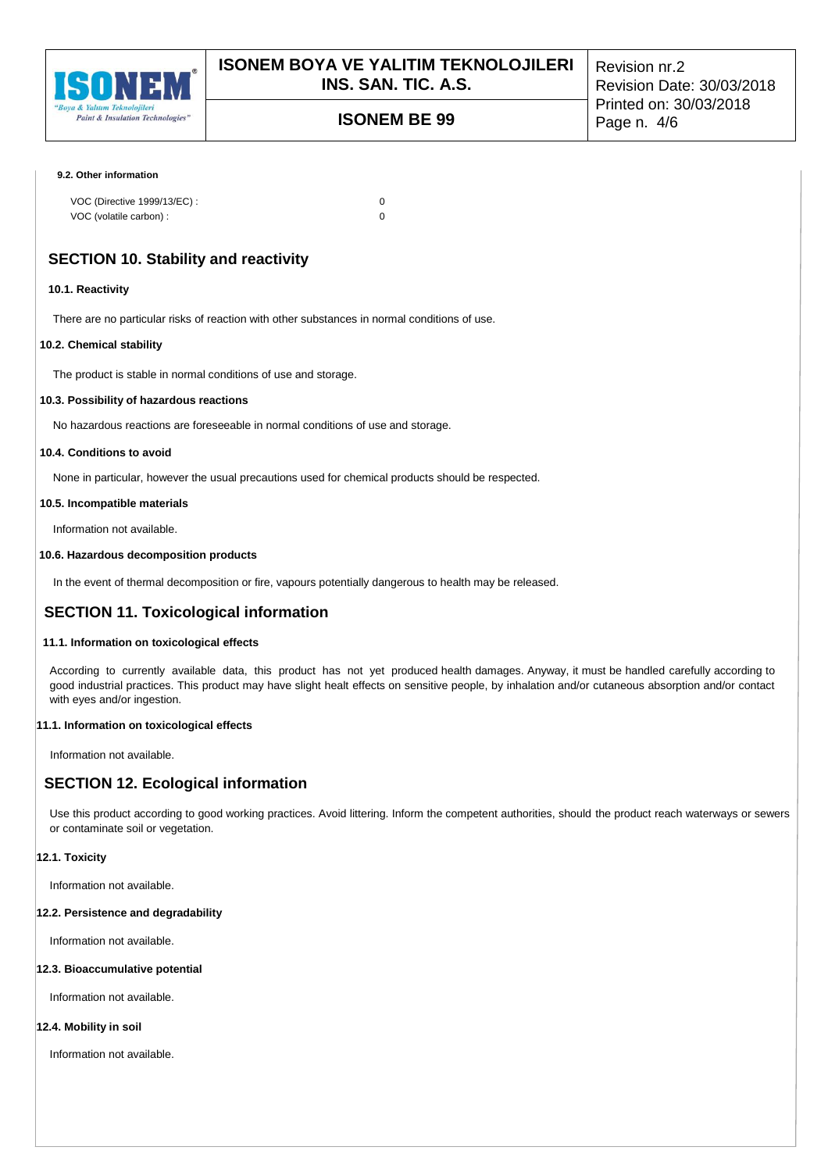

# **ISONEM BE 99** Page n. 4/6

Revision nr.2 Revision Date: 30/03/2018 Printed on: 30/03/2018

#### **9.2. Other information**

| VOC (Directive 1999/13/EC) : |  |
|------------------------------|--|
| VOC (volatile carbon) :      |  |

## **SECTION 10. Stability and reactivity**

#### **10.1. Reactivity**

There are no particular risks of reaction with other substances in normal conditions of use.

#### **10.2. Chemical stability**

The product is stable in normal conditions of use and storage.

#### **10.3. Possibility of hazardous reactions**

No hazardous reactions are foreseeable in normal conditions of use and storage.

## **10.4. Conditions to avoid**

None in particular, however the usual precautions used for chemical products should be respected.

#### **10.5. Incompatible materials**

Information not available.

### **10.6. Hazardous decomposition products**

In the event of thermal decomposition or fire, vapours potentially dangerous to health may be released.

## **SECTION 11. Toxicological information**

### **11.1. Information on toxicological effects**

According to currently available data, this product has not yet produced health damages. Anyway, it must be handled carefully according to good industrial practices. This product may have slight healt effects on sensitive people, by inhalation and/or cutaneous absorption and/or contact with eyes and/or ingestion.

### **11.1. Information on toxicological effects**

Information not available.

## **SECTION 12. Ecological information**

Use this product according to good working practices. Avoid littering. Inform the competent authorities, should the product reach waterways or sewers or contaminate soil or vegetation.

### **12.1. Toxicity**

Information not available.

#### **12.2. Persistence and degradability**

Information not available.

### **12.3. Bioaccumulative potential**

Information not available.

### **12.4. Mobility in soil**

Information not available.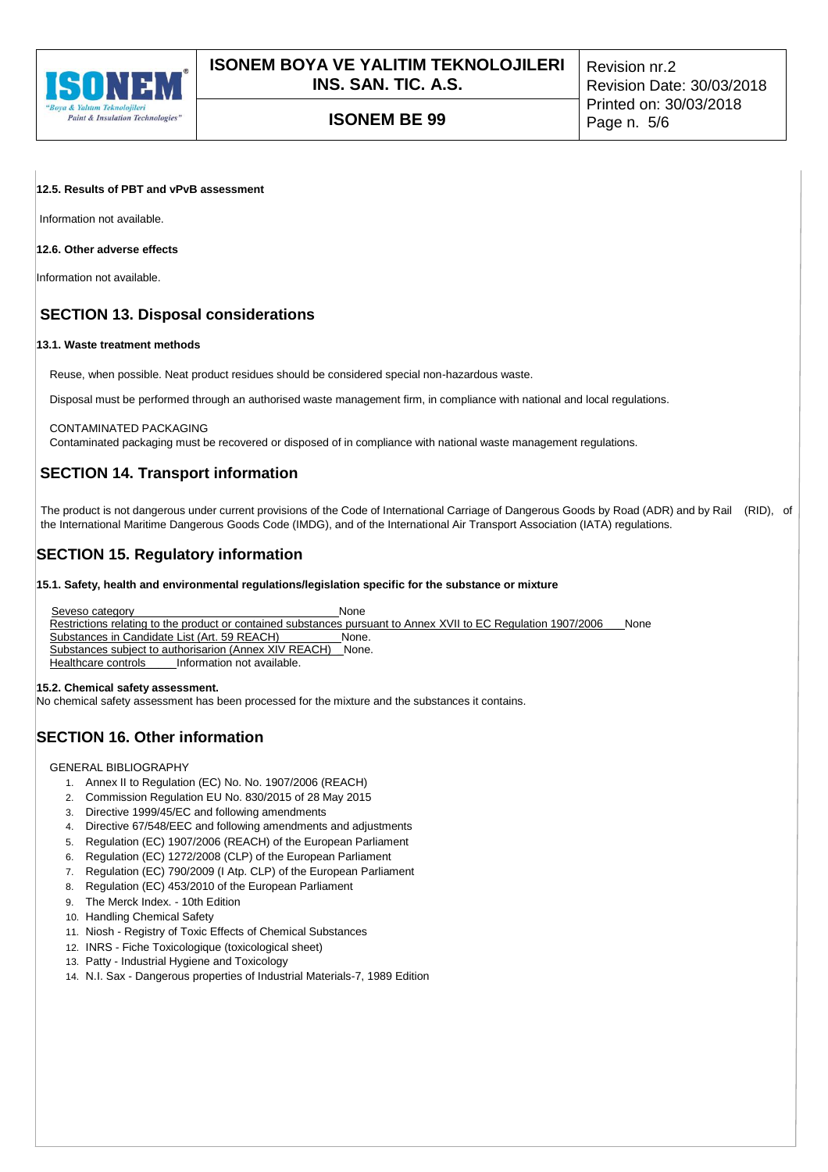

**ISONEM BE 99** Page n. 5/6

Revision nr.2 Revision Date: 30/03/2018 Printed on: 30/03/2018

### **12.5. Results of PBT and vPvB assessment**

Information not available.

## **12.6. Other adverse effects**

Information not available.

## **SECTION 13. Disposal considerations**

### **13.1. Waste treatment methods**

Reuse, when possible. Neat product residues should be considered special non-hazardous waste.

Disposal must be performed through an authorised waste management firm, in compliance with national and local regulations.

#### CONTAMINATED PACKAGING

Contaminated packaging must be recovered or disposed of in compliance with national waste management regulations.

## **SECTION 14. Transport information**

The product is not dangerous under current provisions of the Code of International Carriage of Dangerous Goods by Road (ADR) and by Rail (RID), of the International Maritime Dangerous Goods Code (IMDG), and of the International Air Transport Association (IATA) regulations.

## **SECTION 15. Regulatory information**

**15.1. Safety, health and environmental regulations/legislation specific for the substance or mixture**

Seveso category **None** None Restrictions relating to the product or contained substances pursuant to Annex XVII to EC Regulation 1907/2006 \_\_\_None<br>Substances in Candidate List (Art. 59 REACH) \_\_\_\_\_\_\_\_\_\_None. Substances in Candidate List (Art. 59 REACH) \_\_\_\_\_\_\_\_\_None. Substances subject to authorisarion (Annex XIV REACH) Healthcare controls\_\_\_\_\_\_Information not available.

#### **15.2. Chemical safety assessment.**

No chemical safety assessment has been processed for the mixture and the substances it contains.

## **SECTION 16. Other information**

GENERAL BIBLIOGRAPHY

- 1. Annex II to Regulation (EC) No. No. 1907/2006 (REACH)
- 2. Commission Regulation EU No. 830/2015 of 28 May 2015
- 3. Directive 1999/45/EC and following amendments
- 4. Directive 67/548/EEC and following amendments and adjustments
- 5. Regulation (EC) 1907/2006 (REACH) of the European Parliament
- 6. Regulation (EC) 1272/2008 (CLP) of the European Parliament
- 7. Regulation (EC) 790/2009 (I Atp. CLP) of the European Parliament
- 8. Regulation (EC) 453/2010 of the European Parliament
- 9. The Merck Index. 10th Edition
- 10. Handling Chemical Safety
- 11. Niosh Registry of Toxic Effects of Chemical Substances
- 12. INRS Fiche Toxicologique (toxicological sheet)
- 13. Patty Industrial Hygiene and Toxicology
- 14. N.I. Sax Dangerous properties of Industrial Materials-7, 1989 Edition